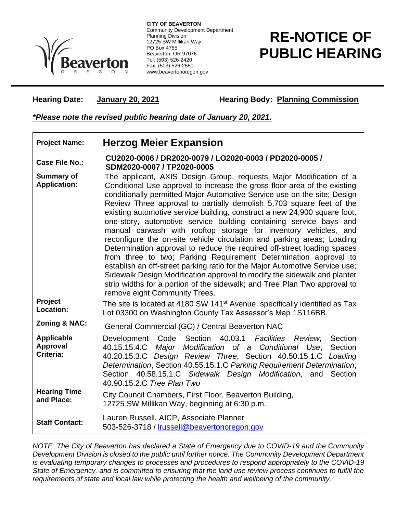

**CITY OF BEAVERTON** Community Development Department Planning Division 12725 SW Millikan Way PO Box 4755 Beaverton, OR 97076 Tel: (503) 526-2420 Fax: (503) 526-2550 www.beavertonoregon.gov

## **RE-NOTICE OF PUBLIC HEARING**

Hearing Date: January 20, 2021 Hearing Body: Planning Commission

*\*Please note the revised public hearing date of January 20, 2021.*

## **Project Name: Herzog Meier Expansion**

**Case File No.: CU2020-0006 / DR2020-0079 / LO2020-0003 / PD2020-0005 / SDM2020-0007 / TP2020-0005**

**Summary of Application:** The applicant, AXIS Design Group, requests Major Modification of a Conditional Use approval to increase the gross floor area of the existing conditionally permitted Major Automotive Service use on the site; Design Review Three approval to partially demolish 5,703 square feet of the existing automotive service building, construct a new 24,900 square foot, one-story, automotive service building containing service bays and manual carwash with rooftop storage for inventory vehicles, and reconfigure the on-site vehicle circulation and parking areas; Loading Determination approval to reduce the required off-street loading spaces from three to two; Parking Requirement Determination approval to establish an off-street parking ratio for the Major Automotive Service use; Sidewalk Design Modification approval to modify the sidewalk and planter strip widths for a portion of the sidewalk; and Tree Plan Two approval to remove eight Community Trees.

**Project Location:** The site is located at 4180 SW 141<sup>st</sup> Avenue, specifically identified as Tax Lot 03300 on Washington County Tax Assessor's Map 1S116BB.

**Zoning & NAC:** General Commercial (GC) / Central Beaverton NAC

| Applicable<br>Approval<br>Criteria: | Development Code Section 40.03.1 Facilities Review,<br>40.15.15.4.C Major Modification of a Conditional Use, Section<br>40.20.15.3.C Design Review Three, Section 40.50.15.1.C Loading<br>Determination, Section 40.55.15.1.C Parking Requirement Determination,<br>Section 40.58.15.1.C Sidewalk Design Modification, and Section<br>40.90.15.2.C Tree Plan Two | Section |
|-------------------------------------|------------------------------------------------------------------------------------------------------------------------------------------------------------------------------------------------------------------------------------------------------------------------------------------------------------------------------------------------------------------|---------|
| <b>Hearing Time</b><br>and Place:   | City Council Chambers, First Floor, Beaverton Building,<br>12725 SW Millikan Way, beginning at 6:30 p.m.                                                                                                                                                                                                                                                         |         |
| <b>Staff Contact:</b>               | Lauren Russell, AICP, Associate Planner<br>503-526-3718 / Irussell@beavertonoregon.gov                                                                                                                                                                                                                                                                           |         |

*NOTE: The City of Beaverton has declared a State of Emergency due to COVID-19 and the Community Development Division is closed to the public until further notice. The Community Development Department is evaluating temporary changes to processes and procedures to respond appropriately to the COVID-19 State of Emergency, and is committed to ensuring that the land use review process continues to fulfill the requirements of state and local law while protecting the health and wellbeing of the community.*